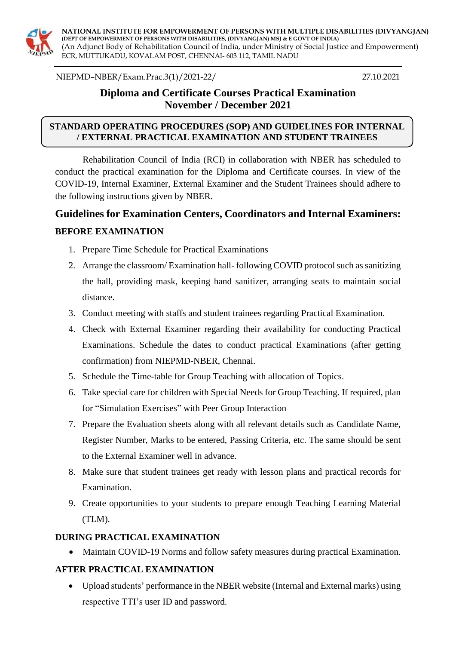

**NATIONAL INSTITUTE FOR EMPOWERMENT OF PERSONS WITH MULTIPLE DISABILITIES (DIVYANGJAN) (DEPT OF EMPOWERMENT OF PERSONS WITH DISABILITIES, (DIVYANGJAN) MSJ & E GOVT OF INDIA)** (An Adjunct Body of Rehabilitation Council of India, under Ministry of Social Justice and Empowerment) ECR, MUTTUKADU, KOVALAM POST, CHENNAI- 603 112, TAMIL NADU

NIEPMD–NBER/Exam.Prac.3(1)/2021-22/ 27.10.2021

## **Diploma and Certificate Courses Practical Examination November / December 2021**

#### **STANDARD OPERATING PROCEDURES (SOP) AND GUIDELINES FOR INTERNAL / EXTERNAL PRACTICAL EXAMINATION AND STUDENT TRAINEES**

Rehabilitation Council of India (RCI) in collaboration with NBER has scheduled to conduct the practical examination for the Diploma and Certificate courses. In view of the COVID-19, Internal Examiner, External Examiner and the Student Trainees should adhere to the following instructions given by NBER.

# **Guidelines for Examination Centers, Coordinators and Internal Examiners: BEFORE EXAMINATION**

- 1. Prepare Time Schedule for Practical Examinations
- 2. Arrange the classroom/ Examination hall- following COVID protocol such as sanitizing the hall, providing mask, keeping hand sanitizer, arranging seats to maintain social distance.
- 3. Conduct meeting with staffs and student trainees regarding Practical Examination.
- 4. Check with External Examiner regarding their availability for conducting Practical Examinations. Schedule the dates to conduct practical Examinations (after getting confirmation) from NIEPMD-NBER, Chennai.
- 5. Schedule the Time-table for Group Teaching with allocation of Topics.
- 6. Take special care for children with Special Needs for Group Teaching. If required, plan for "Simulation Exercises" with Peer Group Interaction
- 7. Prepare the Evaluation sheets along with all relevant details such as Candidate Name, Register Number, Marks to be entered, Passing Criteria, etc. The same should be sent to the External Examiner well in advance.
- 8. Make sure that student trainees get ready with lesson plans and practical records for Examination.
- 9. Create opportunities to your students to prepare enough Teaching Learning Material (TLM).

#### **DURING PRACTICAL EXAMINATION**

Maintain COVID-19 Norms and follow safety measures during practical Examination.

#### **AFTER PRACTICAL EXAMINATION**

 Upload students' performance in the NBER website (Internal and External marks) using respective TTI's user ID and password.